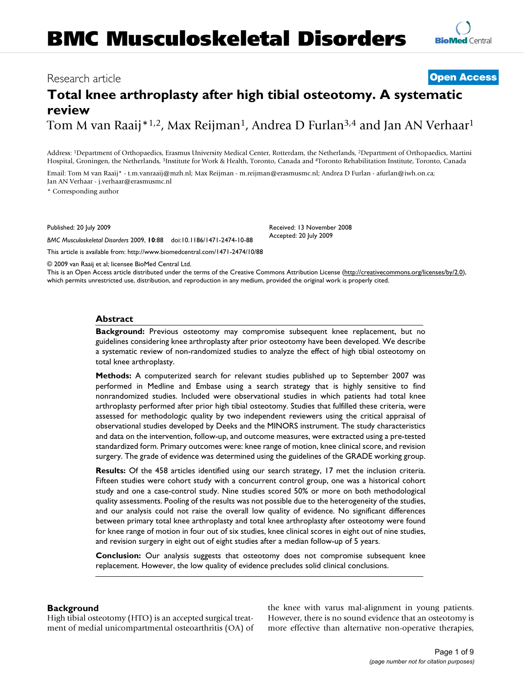## Research article **[Open Access](http://www.biomedcentral.com/info/about/charter/)**

# **Total knee arthroplasty after high tibial osteotomy. A systematic review** Tom M van Raaij<sup>\*1,2</sup>, Max Reijman<sup>1</sup>, Andrea D Furlan<sup>3,4</sup> and Jan AN Verhaar<sup>1</sup>

Address: 1Department of Orthopaedics, Erasmus University Medical Center, Rotterdam, the Netherlands, 2Department of Orthopaedics, Martini Hospital, Groningen, the Netherlands, 3Institute for Work & Health, Toronto, Canada and 4Toronto Rehabilitation Institute, Toronto, Canada

Email: Tom M van Raaij\* - t.m.vanraaij@mzh.nl; Max Reijman - m.reijman@erasmusmc.nl; Andrea D Furlan - afurlan@iwh.on.ca; Jan AN Verhaar - j.verhaar@erasmusmc.nl

\* Corresponding author

Published: 20 July 2009

*BMC Musculoskeletal Disorders* 2009, **10**:88 doi:10.1186/1471-2474-10-88

[This article is available from: http://www.biomedcentral.com/1471-2474/10/88](http://www.biomedcentral.com/1471-2474/10/88)

© 2009 van Raaij et al; licensee BioMed Central Ltd.

This is an Open Access article distributed under the terms of the Creative Commons Attribution License [\(http://creativecommons.org/licenses/by/2.0\)](http://creativecommons.org/licenses/by/2.0), which permits unrestricted use, distribution, and reproduction in any medium, provided the original work is properly cited.

Received: 13 November 2008 Accepted: 20 July 2009

### **Abstract**

**Background:** Previous osteotomy may compromise subsequent knee replacement, but no guidelines considering knee arthroplasty after prior osteotomy have been developed. We describe a systematic review of non-randomized studies to analyze the effect of high tibial osteotomy on total knee arthroplasty.

**Methods:** A computerized search for relevant studies published up to September 2007 was performed in Medline and Embase using a search strategy that is highly sensitive to find nonrandomized studies. Included were observational studies in which patients had total knee arthroplasty performed after prior high tibial osteotomy. Studies that fulfilled these criteria, were assessed for methodologic quality by two independent reviewers using the critical appraisal of observational studies developed by Deeks and the MINORS instrument. The study characteristics and data on the intervention, follow-up, and outcome measures, were extracted using a pre-tested standardized form. Primary outcomes were: knee range of motion, knee clinical score, and revision surgery. The grade of evidence was determined using the guidelines of the GRADE working group.

**Results:** Of the 458 articles identified using our search strategy, 17 met the inclusion criteria. Fifteen studies were cohort study with a concurrent control group, one was a historical cohort study and one a case-control study. Nine studies scored 50% or more on both methodological quality assessments. Pooling of the results was not possible due to the heterogeneity of the studies, and our analysis could not raise the overall low quality of evidence. No significant differences between primary total knee arthroplasty and total knee arthroplasty after osteotomy were found for knee range of motion in four out of six studies, knee clinical scores in eight out of nine studies, and revision surgery in eight out of eight studies after a median follow-up of 5 years.

**Conclusion:** Our analysis suggests that osteotomy does not compromise subsequent knee replacement. However, the low quality of evidence precludes solid clinical conclusions.

### **Background**

High tibial osteotomy (HTO) is an accepted surgical treatment of medial unicompartmental osteoarthritis (OA) of the knee with varus mal-alignment in young patients. However, there is no sound evidence that an osteotomy is more effective than alternative non-operative therapies,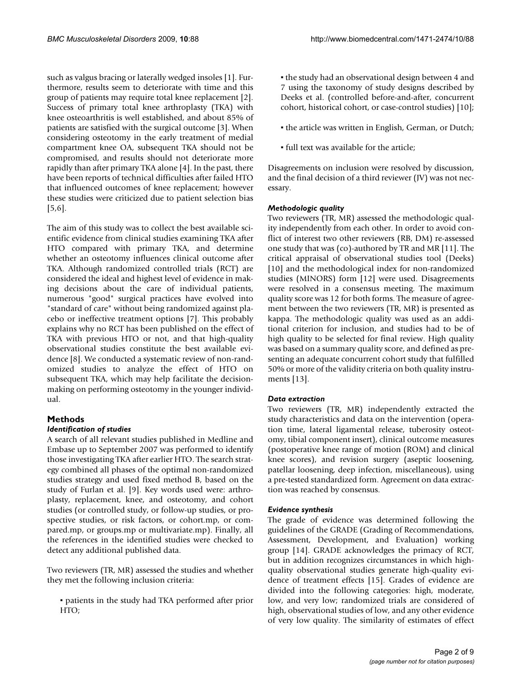such as valgus bracing or laterally wedged insoles [1]. Furthermore, results seem to deteriorate with time and this group of patients may require total knee replacement [2]. Success of primary total knee arthroplasty (TKA) with knee osteoarthritis is well established, and about 85% of patients are satisfied with the surgical outcome [\[3\]](#page-7-0). When considering osteotomy in the early treatment of medial compartment knee OA, subsequent TKA should not be compromised, and results should not deteriorate more rapidly than after primary TKA alone [4]. In the past, there have been reports of technical difficulties after failed HTO that influenced outcomes of knee replacement; however these studies were criticized due to patient selection bias [5,6].

The aim of this study was to collect the best available scientific evidence from clinical studies examining TKA after HTO compared with primary TKA, and determine whether an osteotomy influences clinical outcome after TKA. Although randomized controlled trials (RCT) are considered the ideal and highest level of evidence in making decisions about the care of individual patients, numerous "good" surgical practices have evolved into "standard of care" without being randomized against placebo or ineffective treatment options [7]. This probably explains why no RCT has been published on the effect of TKA with previous HTO or not, and that high-quality observational studies constitute the best available evidence [8]. We conducted a systematic review of non-randomized studies to analyze the effect of HTO on subsequent TKA, which may help facilitate the decisionmaking on performing osteotomy in the younger individual.

### **Methods**

### *Identification of studies*

A search of all relevant studies published in Medline and Embase up to September 2007 was performed to identify those investigating TKA after earlier HTO. The search strategy combined all phases of the optimal non-randomized studies strategy and used fixed method B, based on the study of Furlan et al. [9]. Key words used were: arthroplasty, replacement, knee, and osteotomy, and cohort studies (or controlled study, or follow-up studies, or prospective studies, or risk factors, or cohort.mp, or compared.mp, or groups.mp or multivariate.mp). Finally, all the references in the identified studies were checked to detect any additional published data.

Two reviewers (TR, MR) assessed the studies and whether they met the following inclusion criteria:

▪ patients in the study had TKA performed after prior HTO;

▪ the study had an observational design between 4 and 7 using the taxonomy of study designs described by Deeks et al. (controlled before-and-after, concurrent cohort, historical cohort, or case-control studies) [10];

- the article was written in English, German, or Dutch;
- full text was available for the article;

Disagreements on inclusion were resolved by discussion, and the final decision of a third reviewer (JV) was not necessary.

### *Methodologic quality*

Two reviewers (TR, MR) assessed the methodologic quality independently from each other. In order to avoid conflict of interest two other reviewers (RB, DM) re-assessed one study that was (co)-authored by TR and MR [11]. The critical appraisal of observational studies tool (Deeks) [10] and the methodological index for non-randomized studies (MINORS) form [12] were used. Disagreements were resolved in a consensus meeting. The maximum quality score was 12 for both forms. The measure of agreement between the two reviewers (TR, MR) is presented as kappa. The methodologic quality was used as an additional criterion for inclusion, and studies had to be of high quality to be selected for final review. High quality was based on a summary quality score, and defined as presenting an adequate concurrent cohort study that fulfilled 50% or more of the validity criteria on both quality instruments [13].

### *Data extraction*

Two reviewers (TR, MR) independently extracted the study characteristics and data on the intervention (operation time, lateral ligamental release, tuberosity osteotomy, tibial component insert), clinical outcome measures (postoperative knee range of motion (ROM) and clinical knee scores), and revision surgery (aseptic loosening, patellar loosening, deep infection, miscellaneous), using a pre-tested standardized form. Agreement on data extraction was reached by consensus.

### *Evidence synthesis*

The grade of evidence was determined following the guidelines of the GRADE (Grading of Recommendations, Assessment, Development, and Evaluation) working group [14]. GRADE acknowledges the primacy of RCT, but in addition recognizes circumstances in which highquality observational studies generate high-quality evidence of treatment effects [15]. Grades of evidence are divided into the following categories: high, moderate, low, and very low; randomized trials are considered of high, observational studies of low, and any other evidence of very low quality. The similarity of estimates of effect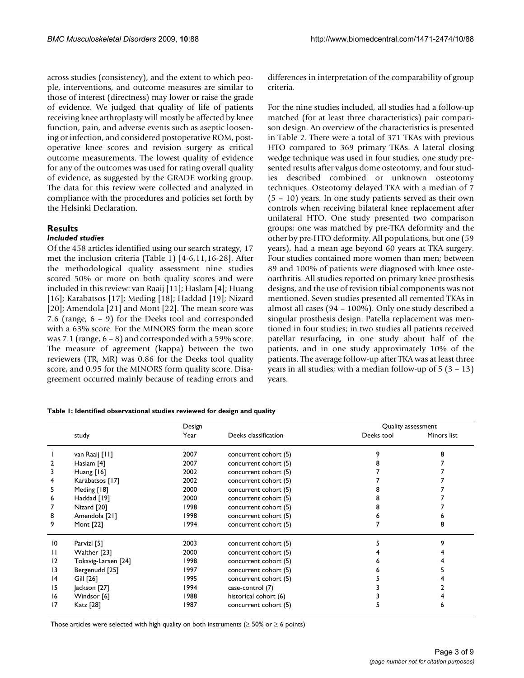across studies (consistency), and the extent to which people, interventions, and outcome measures are similar to those of interest (directness) may lower or raise the grade of evidence. We judged that quality of life of patients receiving knee arthroplasty will mostly be affected by knee function, pain, and adverse events such as aseptic loosening or infection, and considered postoperative ROM, postoperative knee scores and revision surgery as critical outcome measurements. The lowest quality of evidence for any of the outcomes was used for rating overall quality of evidence, as suggested by the GRADE working group. The data for this review were collected and analyzed in compliance with the procedures and policies set forth by the Helsinki Declaration.

### **Results**

### *Included studies*

Of the 458 articles identified using our search strategy, 17 met the inclusion criteria (Table 1) [4-6,11,16-28]. After the methodological quality assessment nine studies scored 50% or more on both quality scores and were included in this review: van Raaij [11]; Haslam [4]; Huang [16]; Karabatsos [17]; Meding [18]; Haddad [19]; Nizard [20]; Amendola [21] and Mont [22]. The mean score was 7.6 (range, 6 – 9) for the Deeks tool and corresponded with a 63% score. For the MINORS form the mean score was 7.1 (range, 6 – 8) and corresponded with a 59% score. The measure of agreement (kappa) between the two reviewers (TR, MR) was 0.86 for the Deeks tool quality score, and 0.95 for the MINORS form quality score. Disagreement occurred mainly because of reading errors and differences in interpretation of the comparability of group criteria.

For the nine studies included, all studies had a follow-up matched (for at least three characteristics) pair comparison design. An overview of the characteristics is presented in Table 2. There were a total of 371 TKAs with previous HTO compared to 369 primary TKAs. A lateral closing wedge technique was used in four studies, one study presented results after valgus dome osteotomy, and four studies described combined or unknown osteotomy techniques. Osteotomy delayed TKA with a median of 7 (5 – 10) years. In one study patients served as their own controls when receiving bilateral knee replacement after unilateral HTO. One study presented two comparison groups; one was matched by pre-TKA deformity and the other by pre-HTO deformity. All populations, but one (59 years), had a mean age beyond 60 years at TKA surgery. Four studies contained more women than men; between 89 and 100% of patients were diagnosed with knee osteoarthritis. All studies reported on primary knee prosthesis designs, and the use of revision tibial components was not mentioned. Seven studies presented all cemented TKAs in almost all cases (94 – 100%). Only one study described a singular prosthesis design. Patella replacement was mentioned in four studies; in two studies all patients received patellar resurfacing, in one study about half of the patients, and in one study approximately 10% of the patients. The average follow-up after TKA was at least three years in all studies; with a median follow-up of  $5(3 - 13)$ years.

#### **Table 1: Identified observational studies reviewed for design and quality**

|                 |                     | Design |                       | Quality assessment |             |  |  |
|-----------------|---------------------|--------|-----------------------|--------------------|-------------|--|--|
|                 | study               | Year   | Deeks classification  | Deeks tool         | Minors list |  |  |
|                 | van Raaij [11]      | 2007   | concurrent cohort (5) |                    |             |  |  |
|                 | Haslam [4]          | 2007   | concurrent cohort (5) |                    |             |  |  |
| 3               | Huang $[16]$        | 2002   | concurrent cohort (5) |                    |             |  |  |
| 4               | Karabatsos [17]     | 2002   | concurrent cohort (5) |                    |             |  |  |
| 5               | Meding [18]         | 2000   | concurrent cohort (5) |                    |             |  |  |
| 6               | Haddad [19]         | 2000   | concurrent cohort (5) |                    |             |  |  |
|                 | Nizard [20]         | 1998   | concurrent cohort (5) |                    |             |  |  |
| 8               | Amendola [21]       | 1998   | concurrent cohort (5) |                    |             |  |  |
| 9               | Mont [22]           | 1994   | concurrent cohort (5) |                    |             |  |  |
| 10              | Parvizi [5]         | 2003   | concurrent cohort (5) |                    |             |  |  |
| $\mathbf{H}$    | Walther [23]        | 2000   | concurrent cohort (5) |                    |             |  |  |
| 12              | Toksvig-Larsen [24] | 1998   | concurrent cohort (5) |                    |             |  |  |
| 13              | Bergenudd [25]      | 1997   | concurrent cohort (5) |                    |             |  |  |
| $\overline{14}$ | Gill [26]           | 1995   | concurrent cohort (5) |                    |             |  |  |
| 15              | Jackson [27]        | 1994   | case-control (7)      |                    |             |  |  |
| 16              | Windsor [6]         | 1988   | historical cohort (6) |                    |             |  |  |
| 17              | Katz [28]           | 1987   | concurrent cohort (5) |                    |             |  |  |

Those articles were selected with high quality on both instruments ( $\geq$  50% or  $\geq$  6 points)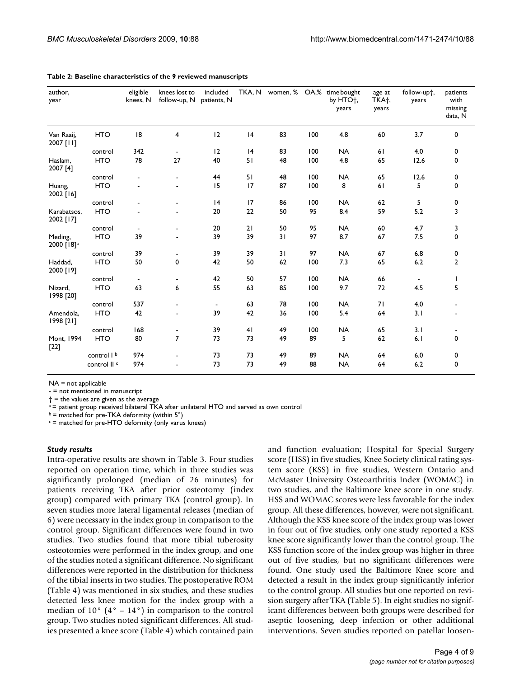| author,<br>year                   |                        | eligible<br>knees, N | knees lost to<br>follow-up, N patients, N | included                 |    |    |     | TKA, N women, % OA,% time bought<br>by HTO <sup>+</sup> ,<br>years | age at<br>TKA <sup>+</sup> ,<br>years | follow-upt,<br>years | patients<br>with<br>missing<br>data, N |
|-----------------------------------|------------------------|----------------------|-------------------------------------------|--------------------------|----|----|-----|--------------------------------------------------------------------|---------------------------------------|----------------------|----------------------------------------|
| Van Raaij,<br>2007 [11]           | <b>HTO</b>             | 8                    | 4                                         | 12                       | 4  | 83 | 100 | 4.8                                                                | 60                                    | 3.7                  | $\mathbf 0$                            |
|                                   | control                | 342                  | $\blacksquare$                            | 12                       | 4  | 83 | 100 | <b>NA</b>                                                          | 61                                    | 4.0                  | 0                                      |
| Haslam,<br>2007 [4]               | <b>HTO</b>             | 78                   | 27                                        | 40                       | 51 | 48 | 100 | 4.8                                                                | 65                                    | 12.6                 | 0                                      |
|                                   | control                |                      | $\blacksquare$                            | 44                       | 51 | 48 | 100 | <b>NA</b>                                                          | 65                                    | 12.6                 | 0                                      |
| Huang,<br>2002 [16]               | <b>HTO</b>             |                      | $\blacksquare$                            | 15                       | 17 | 87 | 100 | 8                                                                  | 61                                    | 5                    | $\mathbf 0$                            |
|                                   | control                |                      | $\blacksquare$                            | 4                        | 17 | 86 | 100 | <b>NA</b>                                                          | 62                                    | 5                    | 0                                      |
| Karabatsos,<br>2002 [17]          | <b>HTO</b>             |                      |                                           | 20                       | 22 | 50 | 95  | 8.4                                                                | 59                                    | 5.2                  | 3                                      |
|                                   | control                | $\blacksquare$       |                                           | 20                       | 21 | 50 | 95  | <b>NA</b>                                                          | 60                                    | 4.7                  | 3                                      |
| Meding,<br>2000 [18] <sup>a</sup> | <b>HTO</b>             | 39                   |                                           | 39                       | 39 | 31 | 97  | 8.7                                                                | 67                                    | 7.5                  | 0                                      |
|                                   | control                | 39                   |                                           | 39                       | 39 | 31 | 97  | <b>NA</b>                                                          | 67                                    | 6.8                  | 0                                      |
| Haddad,<br>2000 [19]              | <b>HTO</b>             | 50                   | 0                                         | 42                       | 50 | 62 | 100 | 7.3                                                                | 65                                    | 6.2                  | $\overline{2}$                         |
|                                   | control                | $\blacksquare$       | $\overline{\phantom{a}}$                  | 42                       | 50 | 57 | 100 | <b>NA</b>                                                          | 66                                    | $\blacksquare$       | $\mathbf{I}$                           |
| Nizard,<br>1998 [20]              | <b>HTO</b>             | 63                   | 6                                         | 55                       | 63 | 85 | 100 | 9.7                                                                | 72                                    | 4.5                  | 5                                      |
|                                   | control                | 537                  | $\blacksquare$                            | $\overline{\phantom{a}}$ | 63 | 78 | 100 | <b>NA</b>                                                          | 71                                    | 4.0                  |                                        |
| Amendola,<br>1998 [21]            | <b>HTO</b>             | 42                   | $\blacksquare$                            | 39                       | 42 | 36 | 100 | 5.4                                                                | 64                                    | 3.1                  |                                        |
|                                   | control                | 168                  | $\overline{\phantom{a}}$                  | 39                       | 41 | 49 | 100 | <b>NA</b>                                                          | 65                                    | 3.1                  |                                        |
| Mont, 1994<br>$[22]$              | <b>HTO</b>             | 80                   | $\overline{7}$                            | 73                       | 73 | 49 | 89  | 5                                                                  | 62                                    | 6.1                  | 0                                      |
|                                   | control I <sup>b</sup> | 974                  |                                           | 73                       | 73 | 49 | 89  | <b>NA</b>                                                          | 64                                    | 6.0                  | 0                                      |
|                                   | control II c           | 974                  |                                           | 73                       | 73 | 49 | 88  | <b>NA</b>                                                          | 64                                    | 6.2                  | 0                                      |

#### **Table 2: Baseline characteristics of the 9 reviewed manuscripts**

NA = not applicable

- = not mentioned in manuscript

 $\dagger$  = the values are given as the average

a = patient group received bilateral TKA after unilateral HTO and served as own control

 $b =$  matched for pre-TKA deformity (within  $5^\circ$ )

 $c$  = matched for pre-HTO deformity (only varus knees)

#### *Study results*

Intra-operative results are shown in Table 3. Four studies reported on operation time, which in three studies was significantly prolonged (median of 26 minutes) for patients receiving TKA after prior osteotomy (index group) compared with primary TKA (control group). In seven studies more lateral ligamental releases (median of 6) were necessary in the index group in comparison to the control group. Significant differences were found in two studies. Two studies found that more tibial tuberosity osteotomies were performed in the index group, and one of the studies noted a significant difference. No significant differences were reported in the distribution for thickness of the tibial inserts in two studies. The postoperative ROM (Table 4) was mentioned in six studies, and these studies detected less knee motion for the index group with a median of  $10^{\circ}$  (4° –  $14^{\circ}$ ) in comparison to the control group. Two studies noted significant differences. All studies presented a knee score (Table 4) which contained pain and function evaluation; Hospital for Special Surgery score (HSS) in five studies, Knee Society clinical rating system score (KSS) in five studies, Western Ontario and McMaster University Osteoarthritis Index (WOMAC) in two studies, and the Baltimore knee score in one study. HSS and WOMAC scores were less favorable for the index group. All these differences, however, were not significant. Although the KSS knee score of the index group was lower in four out of five studies, only one study reported a KSS knee score significantly lower than the control group. The KSS function score of the index group was higher in three out of five studies, but no significant differences were found. One study used the Baltimore Knee score and detected a result in the index group significantly inferior to the control group. All studies but one reported on revision surgery after TKA (Table 5). In eight studies no significant differences between both groups were described for aseptic loosening, deep infection or other additional interventions. Seven studies reported on patellar loosen-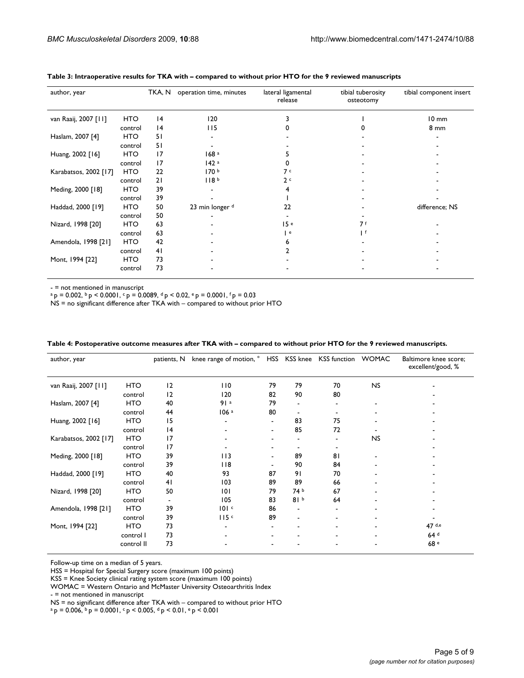| author, year          |            | TKA, N          | operation time, minutes | lateral ligamental<br>release | tibial tuberosity<br>osteotomy | tibial component insert |
|-----------------------|------------|-----------------|-------------------------|-------------------------------|--------------------------------|-------------------------|
| van Raaij, 2007 [11]  | <b>HTO</b> | 4               | 120                     |                               |                                | $10 \text{ mm}$         |
|                       | control    | 14              | 115                     |                               |                                | 8 mm                    |
| Haslam, 2007 [4]      | <b>HTO</b> | 51              |                         |                               |                                |                         |
|                       | control    | 51              |                         |                               |                                |                         |
| Huang, 2002 [16]      | HTO        | 17              | 168 <sup>a</sup>        |                               |                                |                         |
|                       | control    | $\overline{17}$ | 142a                    |                               |                                |                         |
| Karabatsos, 2002 [17] | <b>HTO</b> | 22              | 170 <sup>b</sup>        | 7 с                           |                                |                         |
|                       | control    | 21              | 118 <sup>b</sup>        | 2c                            |                                |                         |
| Meding, 2000 [18]     | <b>HTO</b> | 39              |                         |                               |                                |                         |
|                       | control    | 39              |                         |                               |                                |                         |
| Haddad, 2000 [19]     | <b>HTO</b> | 50              | 23 min longer d         | 22                            |                                | difference; NS          |
|                       | control    | 50              |                         |                               |                                |                         |
| Nizard, 1998 [20]     | HTO        | 63              |                         | 15e                           | 7 f                            |                         |
|                       | control    | 63              |                         | e                             | Ιf                             |                         |
| Amendola, 1998 [21]   | HTO        | 42              |                         |                               |                                |                         |
|                       | control    | 41              |                         |                               |                                |                         |
| Mont, 1994 [22]       | HTO        | 73              |                         |                               |                                |                         |
|                       | control    | 73              |                         |                               |                                |                         |

#### **Table 3: Intraoperative results for TKA with – compared to without prior HTO for the 9 reviewed manuscripts**

- = not mentioned in manuscript

 $a p = 0.002$ ,  $b p < 0.0001$ ,  $c p = 0.0089$ ,  $d p < 0.02$ ,  $e p = 0.0001$ ,  $f p = 0.03$ 

NS = no significant difference after TKA with – compared to without prior HTO

| author, year          |            | patients, N     | knee range of motion, <sup>o</sup> HSS KSS knee KSS function WOMAC |                          |                          |    |           | Baltimore knee score;<br>excellent/good, % |
|-----------------------|------------|-----------------|--------------------------------------------------------------------|--------------------------|--------------------------|----|-----------|--------------------------------------------|
| van Raaij, 2007 [11]  | <b>HTO</b> | 12              | 110                                                                | 79                       | 79                       | 70 | <b>NS</b> |                                            |
|                       | control    | 12              | 120                                                                | 82                       | 90                       | 80 |           |                                            |
| Haslam, 2007 [4]      | <b>HTO</b> | 40              | 91a                                                                | 79                       |                          |    |           |                                            |
|                       | control    | 44              | 106a                                                               | 80                       |                          |    |           |                                            |
| Huang, 2002 [16]      | <b>HTO</b> | 15              |                                                                    | $\blacksquare$           | 83                       | 75 |           |                                            |
|                       | control    | 14              |                                                                    | $\blacksquare$           | 85                       | 72 |           |                                            |
| Karabatsos, 2002 [17] | <b>HTO</b> | $\overline{17}$ |                                                                    |                          |                          |    | <b>NS</b> |                                            |
|                       | control    | $\overline{17}$ |                                                                    |                          |                          |    |           |                                            |
| Meding, 2000 [18]     | <b>HTO</b> | 39              | 113                                                                | $\overline{\phantom{a}}$ | 89                       | 81 |           |                                            |
|                       | control    | 39              | $ $ $ $ 8                                                          |                          | 90                       | 84 |           |                                            |
| Haddad, 2000 [19]     | <b>HTO</b> | 40              | 93                                                                 | 87                       | 91                       | 70 |           |                                            |
|                       | control    | 41              | 103                                                                | 89                       | 89                       | 66 |           |                                            |
| Nizard, 1998 [20]     | <b>HTO</b> | 50              | 0                                                                  | 79                       | 74 b                     | 67 |           |                                            |
|                       | control    |                 | 105                                                                | 83                       | 81 <sup>b</sup>          | 64 |           |                                            |
| Amendola, 1998 [21]   | <b>HTO</b> | 39              | 101c                                                               | 86                       | ۰                        |    |           |                                            |
|                       | control    | 39              | 115c                                                               | 89                       | $\overline{\phantom{0}}$ |    |           |                                            |
| Mont, 1994 [22]       | <b>HTO</b> | 73              |                                                                    |                          |                          |    |           | $47$ d,e                                   |
|                       | control I  | 73              |                                                                    |                          |                          |    |           | 64 <sup>d</sup>                            |
|                       | control II | 73              |                                                                    |                          |                          |    |           | 68 <sup>e</sup>                            |

**Table 4: Postoperative outcome measures after TKA with – compared to without prior HTO for the 9 reviewed manuscripts.** 

Follow-up time on a median of 5 years.

HSS = Hospital for Special Surgery score (maximum 100 points)

KSS = Knee Society clinical rating system score (maximum 100 points)

WOMAC = Western Ontario and McMaster University Osteoarthritis Index

- = not mentioned in manuscript

NS = no significant difference after TKA with – compared to without prior HTO

 $a_p = 0.006$ ,  $b_p = 0.0001$ ,  $c_p < 0.005$ ,  $d_p < 0.01$ ,  $e_p < 0.001$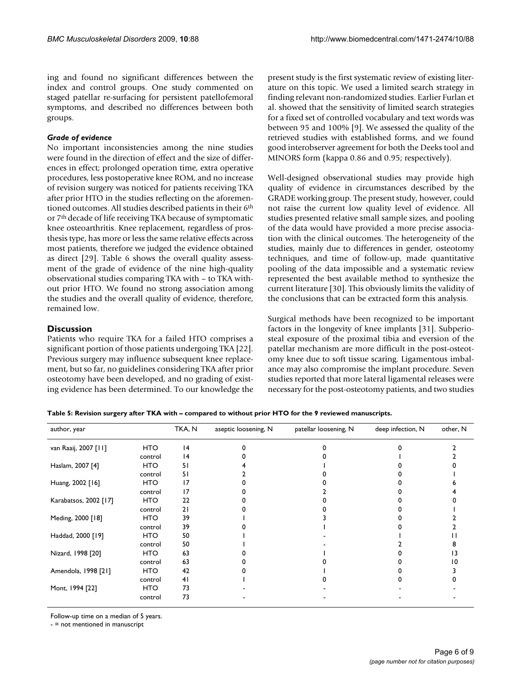ing and found no significant differences between the index and control groups. One study commented on staged patellar re-surfacing for persistent patellofemoral symptoms, and described no differences between both groups.

### *Grade of evidence*

No important inconsistencies among the nine studies were found in the direction of effect and the size of differences in effect; prolonged operation time, extra operative procedures, less postoperative knee ROM, and no increase of revision surgery was noticed for patients receiving TKA after prior HTO in the studies reflecting on the aforementioned outcomes. All studies described patients in their 6th or 7th decade of life receiving TKA because of symptomatic knee osteoarthritis. Knee replacement, regardless of prosthesis type, has more or less the same relative effects across most patients, therefore we judged the evidence obtained as direct [29]. Table 6 shows the overall quality assessment of the grade of evidence of the nine high-quality observational studies comparing TKA with – to TKA without prior HTO. We found no strong association among the studies and the overall quality of evidence, therefore, remained low.

### **Discussion**

Patients who require TKA for a failed HTO comprises a significant portion of those patients undergoing TKA [22]. Previous surgery may influence subsequent knee replacement, but so far, no guidelines considering TKA after prior osteotomy have been developed, and no grading of existing evidence has been determined. To our knowledge the present study is the first systematic review of existing literature on this topic. We used a limited search strategy in finding relevant non-randomized studies. Earlier Furlan et al. showed that the sensitivity of limited search strategies for a fixed set of controlled vocabulary and text words was between 95 and 100% [9]. We assessed the quality of the retrieved studies with established forms, and we found good interobserver agreement for both the Deeks tool and MINORS form (kappa 0.86 and 0.95; respectively).

Well-designed observational studies may provide high quality of evidence in circumstances described by the GRADE working group. The present study, however, could not raise the current low quality level of evidence. All studies presented relative small sample sizes, and pooling of the data would have provided a more precise association with the clinical outcomes. The heterogeneity of the studies, mainly due to differences in gender, osteotomy techniques, and time of follow-up, made quantitative pooling of the data impossible and a systematic review represented the best available method to synthesize the current literature [30]. This obviously limits the validity of the conclusions that can be extracted form this analysis.

Surgical methods have been recognized to be important factors in the longevity of knee implants [31]. Subperiosteal exposure of the proximal tibia and eversion of the patellar mechanism are more difficult in the post-osteotomy knee due to soft tissue scaring. Ligamentous imbalance may also compromise the implant procedure. Seven studies reported that more lateral ligamental releases were necessary for the post-osteotomy patients, and two studies

**Table 5: Revision surgery after TKA with – compared to without prior HTO for the 9 reviewed manuscripts.** 

| author, year          |            | TKA, N | aseptic loosening, N | patellar loosening, N | deep infection, N | other, N |
|-----------------------|------------|--------|----------------------|-----------------------|-------------------|----------|
| van Raaij, 2007 [11]  | <b>HTO</b> | 4      |                      |                       |                   |          |
|                       | control    | 14     |                      |                       |                   |          |
| Haslam, 2007 [4]      | <b>HTO</b> | 51     |                      |                       |                   |          |
|                       | control    | 51     |                      |                       |                   |          |
| Huang, 2002 [16]      | <b>HTO</b> | 17     |                      |                       |                   |          |
|                       | control    | 17     |                      |                       |                   |          |
| Karabatsos, 2002 [17] | <b>HTO</b> | 22     |                      |                       |                   |          |
|                       | control    | 21     |                      |                       |                   |          |
| Meding, 2000 [18]     | <b>HTO</b> | 39     |                      |                       |                   |          |
|                       | control    | 39     |                      |                       |                   |          |
| Haddad, 2000 [19]     | <b>HTO</b> | 50     |                      |                       |                   |          |
|                       | control    | 50     |                      |                       |                   |          |
| Nizard, 1998 [20]     | <b>HTO</b> | 63     |                      |                       |                   |          |
|                       | control    | 63     |                      |                       |                   |          |
| Amendola, 1998 [21]   | <b>HTO</b> | 42     |                      |                       |                   |          |
|                       | control    | 41     |                      |                       |                   |          |
| Mont, 1994 [22]       | <b>HTO</b> | 73     |                      |                       |                   |          |
|                       | control    | 73     |                      |                       |                   |          |

Follow-up time on a median of 5 years.

- = not mentioned in manuscript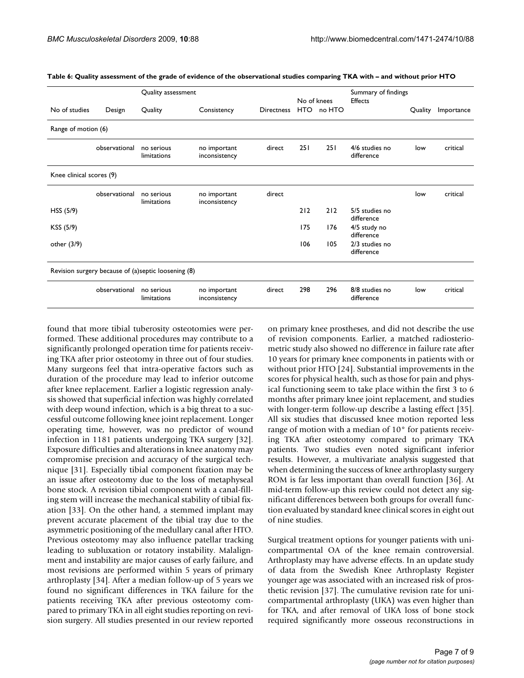|                          |               | Quality assessment                                  |                               |                   | No of knees |            | Summary of findings<br><b>Effects</b> |         |            |
|--------------------------|---------------|-----------------------------------------------------|-------------------------------|-------------------|-------------|------------|---------------------------------------|---------|------------|
| No of studies            | Design        | Quality                                             | Consistency                   | <b>Directness</b> |             | HTO no HTO |                                       | Quality | Importance |
| Range of motion (6)      |               |                                                     |                               |                   |             |            |                                       |         |            |
|                          | observational | no serious<br>limitations                           | no important<br>inconsistency | direct            | <b>251</b>  | 251        | 4/6 studies no<br>difference          | low     | critical   |
| Knee clinical scores (9) |               |                                                     |                               |                   |             |            |                                       |         |            |
|                          | observational | no serious<br>limitations                           | no important<br>inconsistency | direct            |             |            |                                       | low     | critical   |
| HSS (5/9)                |               |                                                     |                               |                   | 212         | 212        | 5/5 studies no<br>difference          |         |            |
| KSS (5/9)                |               |                                                     |                               |                   | 175         | 176        | 4/5 study no<br>difference            |         |            |
| other $(3/9)$            |               |                                                     |                               |                   | 106         | 105        | 2/3 studies no<br>difference          |         |            |
|                          |               | Revision surgery because of (a)septic loosening (8) |                               |                   |             |            |                                       |         |            |
|                          | observational | no serious<br>limitations                           | no important<br>inconsistency | direct            | 298         | 296        | 8/8 studies no<br>difference          | low     | critical   |

**Table 6: Quality assessment of the grade of evidence of the observational studies comparing TKA with – and without prior HTO**

found that more tibial tuberosity osteotomies were performed. These additional procedures may contribute to a significantly prolonged operation time for patients receiving TKA after prior osteotomy in three out of four studies. Many surgeons feel that intra-operative factors such as duration of the procedure may lead to inferior outcome after knee replacement. Earlier a logistic regression analysis showed that superficial infection was highly correlated with deep wound infection, which is a big threat to a successful outcome following knee joint replacement. Longer operating time, however, was no predictor of wound infection in 1181 patients undergoing TKA surgery [32]. Exposure difficulties and alterations in knee anatomy may compromise precision and accuracy of the surgical technique [31]. Especially tibial component fixation may be an issue after osteotomy due to the loss of metaphyseal bone stock. A revision tibial component with a canal-filling stem will increase the mechanical stability of tibial fixation [33]. On the other hand, a stemmed implant may prevent accurate placement of the tibial tray due to the asymmetric positioning of the medullary canal after HTO. Previous osteotomy may also influence patellar tracking leading to subluxation or rotatory instability. Malalignment and instability are major causes of early failure, and most revisions are performed within 5 years of primary arthroplasty [34]. After a median follow-up of 5 years we found no significant differences in TKA failure for the patients receiving TKA after previous osteotomy compared to primary TKA in all eight studies reporting on revision surgery. All studies presented in our review reported on primary knee prostheses, and did not describe the use of revision components. Earlier, a matched radiosteriometric study also showed no difference in failure rate after 10 years for primary knee components in patients with or without prior HTO [24]. Substantial improvements in the scores for physical health, such as those for pain and physical functioning seem to take place within the first 3 to 6 months after primary knee joint replacement, and studies with longer-term follow-up describe a lasting effect [35]. All six studies that discussed knee motion reported less range of motion with a median of 10° for patients receiving TKA after osteotomy compared to primary TKA patients. Two studies even noted significant inferior results. However, a multivariate analysis suggested that when determining the success of knee arthroplasty surgery ROM is far less important than overall function [36]. At mid-term follow-up this review could not detect any significant differences between both groups for overall function evaluated by standard knee clinical scores in eight out of nine studies.

Surgical treatment options for younger patients with unicompartmental OA of the knee remain controversial. Arthroplasty may have adverse effects. In an update study of data from the Swedish Knee Arthroplasty Register younger age was associated with an increased risk of prosthetic revision [37]. The cumulative revision rate for unicompartmental arthroplasty (UKA) was even higher than for TKA, and after removal of UKA loss of bone stock required significantly more osseous reconstructions in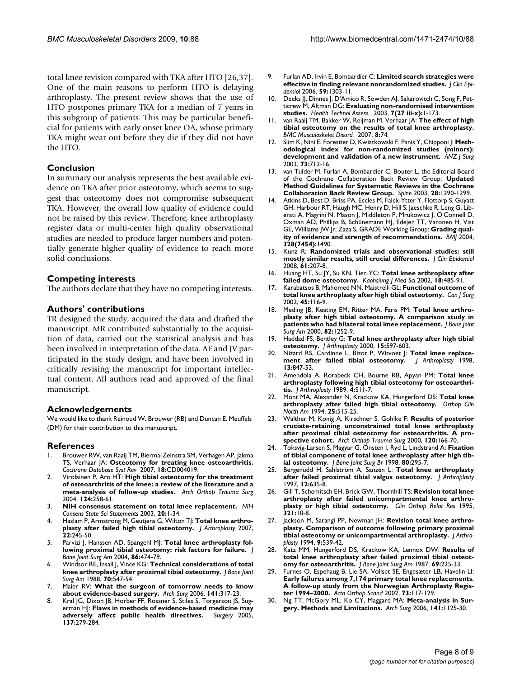total knee revision compared with TKA after HTO [26,37]. One of the main reasons to perform HTO is delaying arthroplasty. The present review shows that the use of HTO postpones primary TKA for a median of 7 years in this subgroup of patients. This may be particular beneficial for patients with early onset knee OA, whose primary TKA might wear out before they die if they did not have the HTO.

### **Conclusion**

In summary our analysis represents the best available evidence on TKA after prior osteotomy, which seems to suggest that osteotomy does not compromise subsequent TKA. However, the overall low quality of evidence could not be raised by this review. Therefore, knee arthroplasty register data or multi-center high quality observational studies are needed to produce larger numbers and potentially generate higher quality of evidence to reach more solid conclusions.

### **Competing interests**

The authors declare that they have no competing interests.

#### **Authors' contributions**

TR designed the study, acquired the data and drafted the manuscript. MR contributed substantially to the acquisition of data, carried out the statistical analysis and has been involved in interpretation of the data. AF and JV participated in the study design, and have been involved in critically revising the manuscript for important intellectual content. All authors read and approved of the final manuscript.

#### **Acknowledgements**

We would like to thank Reinoud W. Brouwer (RB) and Duncan E. Meuffels (DM) for their contribution to this manuscript.

### **References**

- 1. Brouwer RW, van Raaij TM, Bierma-Zeinstra SM, Verhagen AP, Jakma TS, Verhaar JA: **Osteotomy for treating knee osteoarthritis.** *Cochrane Database Syst Rev* 2007, **18:**CD004019.
- 2. Virolainen P, Aro HT: **[High tibial osteotomy for the treatment](http://www.ncbi.nlm.nih.gov/entrez/query.fcgi?cmd=Retrieve&db=PubMed&dopt=Abstract&list_uids=12827394) [of osteoarthritis of the knee: a review of the literature and a](http://www.ncbi.nlm.nih.gov/entrez/query.fcgi?cmd=Retrieve&db=PubMed&dopt=Abstract&list_uids=12827394) [meta-analysis of follow-up studies.](http://www.ncbi.nlm.nih.gov/entrez/query.fcgi?cmd=Retrieve&db=PubMed&dopt=Abstract&list_uids=12827394)** *Arch Orthop Trauma Surg* 2004, **124:**258-61.
- <span id="page-7-0"></span>3. **[NIH consensus statement on total knee replacement.](http://www.ncbi.nlm.nih.gov/entrez/query.fcgi?cmd=Retrieve&db=PubMed&dopt=Abstract&list_uids=17308549)** *NIH Consens State Sci Statements* 2003, **20:**1-34.
- Haslam P, Armstrong M, Geutjens G, Wilton TJ: [Total knee arthro](http://www.ncbi.nlm.nih.gov/entrez/query.fcgi?cmd=Retrieve&db=PubMed&dopt=Abstract&list_uids=17275642)**[plasty after failed high tibial osteotomy.](http://www.ncbi.nlm.nih.gov/entrez/query.fcgi?cmd=Retrieve&db=PubMed&dopt=Abstract&list_uids=17275642)** *J Arthroplasty* 2007, **22:**245-50.
- 5. Parvizi J, Hanssen AD, Spangehl MJ: **[Total knee arthroplasty fol](http://www.ncbi.nlm.nih.gov/entrez/query.fcgi?cmd=Retrieve&db=PubMed&dopt=Abstract&list_uids=14996871)[lowing proximal tibial osteotomy: risk factors for failure.](http://www.ncbi.nlm.nih.gov/entrez/query.fcgi?cmd=Retrieve&db=PubMed&dopt=Abstract&list_uids=14996871)** *J Bone Joint Surg Am* 2004, **86:**474-79.
- 6. Windsor RE, Insall J, Vince KG: **[Technical considerations of total](http://www.ncbi.nlm.nih.gov/entrez/query.fcgi?cmd=Retrieve&db=PubMed&dopt=Abstract&list_uids=3356722) [knee arthroplasty after proximal tibial osteotomy.](http://www.ncbi.nlm.nih.gov/entrez/query.fcgi?cmd=Retrieve&db=PubMed&dopt=Abstract&list_uids=3356722)** *J Bone Joint Surg Am* 1988, **70:**547-54.
- 7. Maier RV: **[What the surgeon of tomorrow needs to know](http://www.ncbi.nlm.nih.gov/entrez/query.fcgi?cmd=Retrieve&db=PubMed&dopt=Abstract&list_uids=16549701) [about evidence-based surgery.](http://www.ncbi.nlm.nih.gov/entrez/query.fcgi?cmd=Retrieve&db=PubMed&dopt=Abstract&list_uids=16549701)** *Arch Surg* 2006, **141:**317-23.
- 8. Kral JG, Dixon JB, Horber FF, Rossner S, Stiles S, Torgerson JS, Sugerman HJ: **[Flaws in methods of evidence-based medicine may](http://www.ncbi.nlm.nih.gov/entrez/query.fcgi?cmd=Retrieve&db=PubMed&dopt=Abstract&list_uids=15746776) [adversely affect public health directives.](http://www.ncbi.nlm.nih.gov/entrez/query.fcgi?cmd=Retrieve&db=PubMed&dopt=Abstract&list_uids=15746776)** *Surgery* 2005, **137:**279-284.
- 9. Furlan AD, Irvin E, Bombardier C: **[Limited search strategies were](http://www.ncbi.nlm.nih.gov/entrez/query.fcgi?cmd=Retrieve&db=PubMed&dopt=Abstract&list_uids=17098573) [effective in finding relevant nonrandomized studies.](http://www.ncbi.nlm.nih.gov/entrez/query.fcgi?cmd=Retrieve&db=PubMed&dopt=Abstract&list_uids=17098573)** *J Clin Epidemiol* 2006, **59:**1303-11.
- 10. Deeks JJ, Dinnes J, D'Amico R, Sowden AJ, Sakarovitch C, Song F, Petticrew M, Altman DG: **[Evaluating non-randomised intervention](http://www.ncbi.nlm.nih.gov/entrez/query.fcgi?cmd=Retrieve&db=PubMed&dopt=Abstract&list_uids=14499048) [studies.](http://www.ncbi.nlm.nih.gov/entrez/query.fcgi?cmd=Retrieve&db=PubMed&dopt=Abstract&list_uids=14499048)** *Health Technol Assess.* 2003, **7(27 iii-x):**1-173.
- 11. van Raaij TM, Bakker W, Reijman M, Verhaar JA: **[The effect of high](http://www.ncbi.nlm.nih.gov/entrez/query.fcgi?cmd=Retrieve&db=PubMed&dopt=Abstract&list_uids=17683549) [tibial osteotomy on the results of total knee arthroplasty.](http://www.ncbi.nlm.nih.gov/entrez/query.fcgi?cmd=Retrieve&db=PubMed&dopt=Abstract&list_uids=17683549)** *BMC Musculoskelet Disord.* 2007, **8:**74.
- 12. Slim K, Nini E, Forestier D, Kwiatkowski F, Panis Y, Chipponi J: **[Meth](http://www.ncbi.nlm.nih.gov/entrez/query.fcgi?cmd=Retrieve&db=PubMed&dopt=Abstract&list_uids=12956787)[odological index for non-randomized studies \(minors\):](http://www.ncbi.nlm.nih.gov/entrez/query.fcgi?cmd=Retrieve&db=PubMed&dopt=Abstract&list_uids=12956787) [development and validation of a new instrument.](http://www.ncbi.nlm.nih.gov/entrez/query.fcgi?cmd=Retrieve&db=PubMed&dopt=Abstract&list_uids=12956787)** *ANZ J Surg* 2003, **73:**712-16.
- 13. van Tulder M, Furlan A, Bombardier C, Bouter L, the Editorial Board of the Cochrane Collaboration Back Review Group: **[Updated](http://www.ncbi.nlm.nih.gov/entrez/query.fcgi?cmd=Retrieve&db=PubMed&dopt=Abstract&list_uids=12811274) [Method Guidelines for Systematic Reviews in the Cochrane](http://www.ncbi.nlm.nih.gov/entrez/query.fcgi?cmd=Retrieve&db=PubMed&dopt=Abstract&list_uids=12811274) [Collaboration Back Review Group.](http://www.ncbi.nlm.nih.gov/entrez/query.fcgi?cmd=Retrieve&db=PubMed&dopt=Abstract&list_uids=12811274)** *Spine* 2003, **28:**1290-1299.
- 14. Atkins D, Best D, Briss PA, Eccles M, Falck-Ytter Y, Flottorp S, Guyatt GH, Harbour RT, Haugh MC, Henry D, Hill S, Jaeschke R, Leng G, Liberati A, Magrini N, Mason J, Middleton P, Mrukowicz J, O'Connell D, Oxman AD, Phillips B, Schünemann HJ, Edejer TT, Varonen H, Vist GE, Williams JW Jr, Zaza S, GRADE Working Group: **[Grading qual](http://www.ncbi.nlm.nih.gov/entrez/query.fcgi?cmd=Retrieve&db=PubMed&dopt=Abstract&list_uids=15205295)[ity of evidence and strength of recommendations.](http://www.ncbi.nlm.nih.gov/entrez/query.fcgi?cmd=Retrieve&db=PubMed&dopt=Abstract&list_uids=15205295)** *BMJ* 2004, **328(7454):**1490.
- 15. Kunz R: **[Randomized trials and observational studies: still](http://www.ncbi.nlm.nih.gov/entrez/query.fcgi?cmd=Retrieve&db=PubMed&dopt=Abstract&list_uids=18226743) [mostly similar results, still crucial differences.](http://www.ncbi.nlm.nih.gov/entrez/query.fcgi?cmd=Retrieve&db=PubMed&dopt=Abstract&list_uids=18226743)** *J Clin Epidemiol* 2008, **61:**207-8.
- 16. Huang HT, Su JY, Su KN, Tien YC: **[Total knee arthroplasty after](http://www.ncbi.nlm.nih.gov/entrez/query.fcgi?cmd=Retrieve&db=PubMed&dopt=Abstract&list_uids=12517064) [failed dome osteotomy.](http://www.ncbi.nlm.nih.gov/entrez/query.fcgi?cmd=Retrieve&db=PubMed&dopt=Abstract&list_uids=12517064)** *Kaohsiung J Med Sci* 2002, **18:**485-91.
- 17. Karabatsos B, Mahomed NN, Maistrelli GL: **[Functional outcome of](http://www.ncbi.nlm.nih.gov/entrez/query.fcgi?cmd=Retrieve&db=PubMed&dopt=Abstract&list_uids=11939653) [total knee arthroplasty after high tibial osteotomy.](http://www.ncbi.nlm.nih.gov/entrez/query.fcgi?cmd=Retrieve&db=PubMed&dopt=Abstract&list_uids=11939653)** *Can J Surg* 2002, **45:**116-9.
- 18. Meding JB, Keating EM, Ritter MA, Faris PM: [Total knee arthro](http://www.ncbi.nlm.nih.gov/entrez/query.fcgi?cmd=Retrieve&db=PubMed&dopt=Abstract&list_uids=11005516)**[plasty after high tibial osteotomy. A comparison study in](http://www.ncbi.nlm.nih.gov/entrez/query.fcgi?cmd=Retrieve&db=PubMed&dopt=Abstract&list_uids=11005516) [patients who had bilateral total knee replacement.](http://www.ncbi.nlm.nih.gov/entrez/query.fcgi?cmd=Retrieve&db=PubMed&dopt=Abstract&list_uids=11005516)** *J Bone Joint Surg Am* 2000, **82:**1252-9.
- 19. Haddad FS, Bentley G: **[Total knee arthroplasty after high tibial](http://www.ncbi.nlm.nih.gov/entrez/query.fcgi?cmd=Retrieve&db=PubMed&dopt=Abstract&list_uids=10959998) [osteotomy.](http://www.ncbi.nlm.nih.gov/entrez/query.fcgi?cmd=Retrieve&db=PubMed&dopt=Abstract&list_uids=10959998)** *J Arthroplasty* 2000, **15:**597-603.
- 20. Nizard RS, Cardinne L, Bizot P, Witvoet J: **[Total knee replace](http://www.ncbi.nlm.nih.gov/entrez/query.fcgi?cmd=Retrieve&db=PubMed&dopt=Abstract&list_uids=9880174)[ment after failed tibial osteotomy.](http://www.ncbi.nlm.nih.gov/entrez/query.fcgi?cmd=Retrieve&db=PubMed&dopt=Abstract&list_uids=9880174)** *J Arthroplasty* 1998, **13:**847-53.
- 21. Amendola A, Rorabeck CH, Bourne RB, Apyan PM: **[Total knee](http://www.ncbi.nlm.nih.gov/entrez/query.fcgi?cmd=Retrieve&db=PubMed&dopt=Abstract&list_uids=2584982) [arthroplasty following high tibial osteotomy for osteoarthri](http://www.ncbi.nlm.nih.gov/entrez/query.fcgi?cmd=Retrieve&db=PubMed&dopt=Abstract&list_uids=2584982)[tis.](http://www.ncbi.nlm.nih.gov/entrez/query.fcgi?cmd=Retrieve&db=PubMed&dopt=Abstract&list_uids=2584982)** *J Arthroplasty* 1989, **4:**S11-7.
- 22. Mont MA, Alexander N, Krackow KA, Hungerford DS: **[Total knee](http://www.ncbi.nlm.nih.gov/entrez/query.fcgi?cmd=Retrieve&db=PubMed&dopt=Abstract&list_uids=8028892) [arthroplasty after failed high tibial osteotomy.](http://www.ncbi.nlm.nih.gov/entrez/query.fcgi?cmd=Retrieve&db=PubMed&dopt=Abstract&list_uids=8028892)** *Orthop Clin North Am* 1994, **25:**515-25.
- 23. Walther M, Konig A, Kirschner S, Gohlke F: **[Results of posterior](http://www.ncbi.nlm.nih.gov/entrez/query.fcgi?cmd=Retrieve&db=PubMed&dopt=Abstract&list_uids=10738876) [cruciate-retaining unconstrained total knee arthroplasty](http://www.ncbi.nlm.nih.gov/entrez/query.fcgi?cmd=Retrieve&db=PubMed&dopt=Abstract&list_uids=10738876) after proximal tibial osteotomy for osteoarthritis. A pro[spective cohort.](http://www.ncbi.nlm.nih.gov/entrez/query.fcgi?cmd=Retrieve&db=PubMed&dopt=Abstract&list_uids=10738876)** *Arch Orthop Trauma Surg* 2000, **120:**166-70.
- 24. Toksvig-Larsen S, Magyar G, Önsten I, Ryd L, Lindstrand A: **[Fixation](http://www.ncbi.nlm.nih.gov/entrez/query.fcgi?cmd=Retrieve&db=PubMed&dopt=Abstract&list_uids=9546464) [of tibial component of total knee arthroplasty after high tib](http://www.ncbi.nlm.nih.gov/entrez/query.fcgi?cmd=Retrieve&db=PubMed&dopt=Abstract&list_uids=9546464)[ial osteotomy.](http://www.ncbi.nlm.nih.gov/entrez/query.fcgi?cmd=Retrieve&db=PubMed&dopt=Abstract&list_uids=9546464)** *J Bone Joint Surg Br* 1998, **80:**295-7.
- 25. Bergenudd H, Sahlström A, Sanzén L: **[Total knee arthroplasty](http://www.ncbi.nlm.nih.gov/entrez/query.fcgi?cmd=Retrieve&db=PubMed&dopt=Abstract&list_uids=9306213) [after failed proximal tibial valgus osteotomy.](http://www.ncbi.nlm.nih.gov/entrez/query.fcgi?cmd=Retrieve&db=PubMed&dopt=Abstract&list_uids=9306213)** *J Arthroplasty* 1997, **12:**635-8.
- 26. Gill T, Schemitsch EH, Brick GW, Thornhill TS: **[Revision total knee](http://www.ncbi.nlm.nih.gov/entrez/query.fcgi?cmd=Retrieve&db=PubMed&dopt=Abstract&list_uids=7497653) [arthroplasty after failed unicompartmental knee arthro](http://www.ncbi.nlm.nih.gov/entrez/query.fcgi?cmd=Retrieve&db=PubMed&dopt=Abstract&list_uids=7497653)[plasty or high tibial osteotomy.](http://www.ncbi.nlm.nih.gov/entrez/query.fcgi?cmd=Retrieve&db=PubMed&dopt=Abstract&list_uids=7497653)** *Clin Orthop Relat Res* 1995, **321:**10-8.
- 27. Jackson M, Sarangi PP, Newman JH: **[Revision total knee arthro](http://www.ncbi.nlm.nih.gov/entrez/query.fcgi?cmd=Retrieve&db=PubMed&dopt=Abstract&list_uids=7807113)[plasty. Comparison of outcome following primary proximal](http://www.ncbi.nlm.nih.gov/entrez/query.fcgi?cmd=Retrieve&db=PubMed&dopt=Abstract&list_uids=7807113) [tibial osteotomy or unicompartmental arthroplasty.](http://www.ncbi.nlm.nih.gov/entrez/query.fcgi?cmd=Retrieve&db=PubMed&dopt=Abstract&list_uids=7807113)** *J Arthroplasty* 1994, **9:**539-42.
- 28. Katz MM, Hungerford DS, Krackow KA, Lennox DW: **[Results of](http://www.ncbi.nlm.nih.gov/entrez/query.fcgi?cmd=Retrieve&db=PubMed&dopt=Abstract&list_uids=3805083) [total knee arthroplasty after failed proximal tibial osteot](http://www.ncbi.nlm.nih.gov/entrez/query.fcgi?cmd=Retrieve&db=PubMed&dopt=Abstract&list_uids=3805083)[omy for osteoarthritis.](http://www.ncbi.nlm.nih.gov/entrez/query.fcgi?cmd=Retrieve&db=PubMed&dopt=Abstract&list_uids=3805083)** *J Bone Joint Surg Am* 1987, **69:**225-33.
- 29. Furnes O, Espehaug B, Lie SA, Vollset SE, Engesæter LB, Havelin LI: **[Early failures among 7,174 primary total knee replacements.](http://www.ncbi.nlm.nih.gov/entrez/query.fcgi?cmd=Retrieve&db=PubMed&dopt=Abstract&list_uids=12079006) A follow-up study from the Norwegian Arthroplasty Regis[ter 1994–2000.](http://www.ncbi.nlm.nih.gov/entrez/query.fcgi?cmd=Retrieve&db=PubMed&dopt=Abstract&list_uids=12079006)** *Acta Orthop Scand* 2002, **73:**117-129.
- 30. Ng TT, McGory ML, Ko CY, Maggard MA: **[Meta-analysis in Sur](http://www.ncbi.nlm.nih.gov/entrez/query.fcgi?cmd=Retrieve&db=PubMed&dopt=Abstract&list_uids=17116806)[gery. Methods and Limitations.](http://www.ncbi.nlm.nih.gov/entrez/query.fcgi?cmd=Retrieve&db=PubMed&dopt=Abstract&list_uids=17116806)** *Arch Surg* 2006, **141:**1125-30.